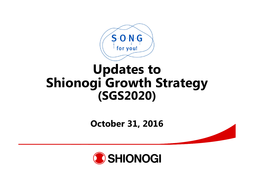

# **Updates to Shionogi Growth Strategy (SGS2020)**

**October 31, 2016**

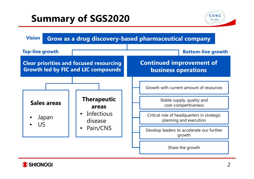## **Summary of SGS2020**





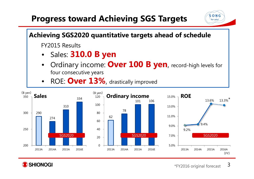## **Progress toward Achieving SGS Targets**





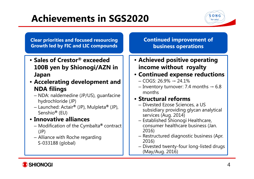# **Achievements in SGS2020**



**Clear priorities and focused resourcing Growth led by FIC and LIC compounds**

- **Sales of Crestor® exceeded 100B yen by Shionogi/AZN in Japan**
- **Accelerating development and NDA filings**
	- NDA: naldemedine (JP/US), guanfacine hydrochloride (JP)
	- Launched: Actair **®** (JP), Mulpleta **®** (JP), Senshio **®** (EU)
- **Innovative alliances**
	- Modification of the Cymbalta **®** contract (JP)
	- Alliance with Roche regarding S-033188 (global)

#### **Continued improvement of business operations**

- **Achieved positive operating income without royalty**
- **Continued expense reductions**
	- COGS: 26.9% → 24.1%
	- Inventory turnover: 7.4 months  $\rightarrow 6.8$ months

#### • **Structural reforms**

- Divested Ezose Sciences, a US subsidiary providing glycan analytical services (Aug. 2014)
- Established Shionogi Healthcare, consumer healthcare business (Jan. 2016)
- Restructured diagnostic business (Apr. 2016)
- Divested twenty-four long-listed drugs (May/Aug. 2016)

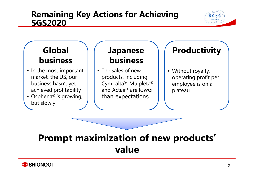#### **Remaining Key Actions for Achieving SGS2020**

### **Global business**

- In the most important market, the US, our business hasn't yet achieved profitability
- Osphena® is growing, but slowly

### **Japanese business**

• The sales of new products, including Cymbalta®, Mulpleta® and Actair® are lower than expectations

## **Productivity**

 $S$  O N G for you!

• Without royalty, operating profit per employee is on a plateau

# **Prompt maximization of new products' value**

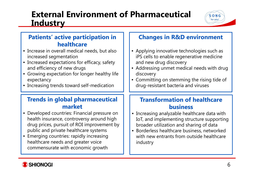### **External Environment of Pharmaceutical Industry**



- Increase in overall medical needs, but also increased segmentation
- Increased expectations for efficacy, safety and efficiency of new drugs
- Growing expectation for longer healthy life expectancy
- Increasing trends toward self-medication

#### **Trends in global pharmaceutical market**

- Developed countries: Financial pressure on health insurance, controversy around high drug prices, pursuit of ROI improvement by public and private healthcare systems
- Emerging countries: rapidly increasing healthcare needs and greater voice commensurate with economic growth

#### **Changes in R&D environment**

 $S$  O N G for you!

- Applying innovative technologies such as iPS cells to enable regenerative medicine and new drug discovery
- Addressing unmet medical needs with drug discovery
- Committing on stemming the rising tide of drug-resistant bacteria and viruses

#### **Transformation of healthcare business**

- Increasing analyzable healthcare data with IoT, and implementing structure supporting broader utilization and sharing of data
- Borderless healthcare business, networked with new entrants from outside healthcare industry

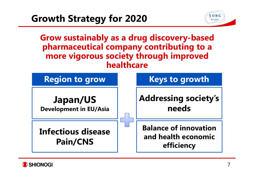

**Grow sustainably as a drug discovery-based pharmaceutical company contributing to a more vigorous society through improved healthcare**

| <b>Region to grow</b>                            |                                                                   | <b>Keys to growth</b>                |
|--------------------------------------------------|-------------------------------------------------------------------|--------------------------------------|
| <b>Japan/US</b><br><b>Development in EU/Asia</b> |                                                                   | <b>Addressing society's</b><br>needs |
| <b>Infectious disease</b><br><b>Pain/CNS</b>     | <b>Balance of innovation</b><br>and health economic<br>efficiency |                                      |

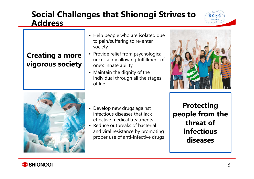#### **Social Challenges that Shionogi Strives to Address**

#### **Creating a more vigorous society**

- Help people who are isolated due to pain/suffering to re-enter society
- Provide relief from psychological uncertainty allowing fulfillment of one's innate ability
- Maintain the dignity of the individual through all the stages of life



 $S$  O N G for you!



- Develop new drugs against infectious diseases that lack effective medical treatments
- Reduce outbreaks of bacterial and viral resistance by promoting proper use of anti-infective drugs

**Protecting people from the threat of infectious diseases**

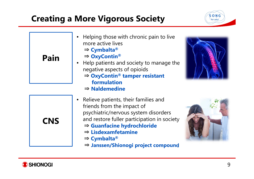## **Creating a More Vigorous Society**



| Pain       | Helping those with chronic pain to live<br>more active lives<br>$\Rightarrow$ Cymbalta®<br>$\Rightarrow$ OxyContin®<br>• Help patients and society to manage the<br>negative aspects of opioids<br>$\Rightarrow$ OxyContin <sup>®</sup> tamper resistant<br>formulation<br>$\Rightarrow$ Naldemedine    |  |
|------------|---------------------------------------------------------------------------------------------------------------------------------------------------------------------------------------------------------------------------------------------------------------------------------------------------------|--|
| <b>CNS</b> | Relieve patients, their families and<br>friends from the impact of<br>psychiatric/nervous system disorders<br>and restore fuller participation in society<br>$\Rightarrow$ Guanfacine hydrochloride<br>$\Rightarrow$ Lisdexamfetamine<br>$\Rightarrow$ Cymbalta®<br>⇒ Janssen/Shionogi project compound |  |

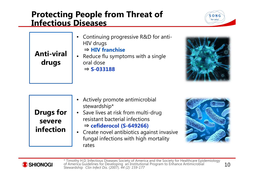#### **Protecting People from Threat of Infectious Diseases**



•**Anti-viral drugs**

• Continuing progressive R&D for anti-HIV drugs

⇒ **HIV franchise**

 Reduce flu symptoms with a single oral dose ⇒ **S-033188**



| • Actively promote antimicrobial<br>stewardship*<br><b>Drugs for</b><br>• Save lives at risk from multi-drug<br>resistant bacterial infections<br>severe<br>$\Rightarrow$ cefiderocol (S-649266)<br>infection<br>• Create novel antibiotics against invasive<br>fungal infections with high mortality<br>rates |  |
|----------------------------------------------------------------------------------------------------------------------------------------------------------------------------------------------------------------------------------------------------------------------------------------------------------------|--|
|----------------------------------------------------------------------------------------------------------------------------------------------------------------------------------------------------------------------------------------------------------------------------------------------------------------|--|



\* Timothy H.D. Infectious Diseases Society of America and the Society for Healthcare Epidemiology of America Guidelines for Developing an Institutional Program to Enhance Antimicrobial Stewardship Clin Infect Dis. (2007).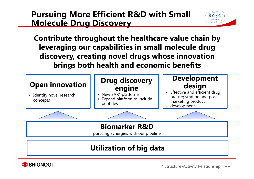#### **Pursuing More Efficient R&D with Small Molecule Drug Discovery**



**Contribute throughout the healthcare value chain by leveraging our capabilities in small molecule drug discovery, creating novel drugs whose innovation brings both health and economic benefits**



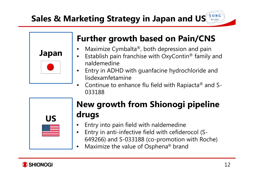

## **Further growth based on Pain/CNS**

- • $\bullet$  Maximize Cymbalta®, both depression and pain
- •• Establish pain franchise with OxyContin® family and naldemedine
- • Entry in ADHD with guanfacine hydrochloride and lisdexamfetamine
- • $\bullet$  Continue to enhance flu field with Rapiacta $^\circledR$  and S-033188



## **New growth from Shionogi pipeline drugs**

- •Entry into pain field with naldemedine
- • Entry in anti-infective field with cefiderocol (S-649266) and S-033188 (co-promotion with Roche)
- •• Maximize the value of Osphena® brand



 $S$  O N G for you!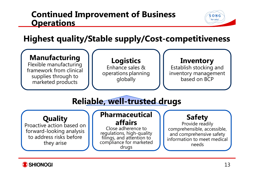#### **Continued Improvement of Business Operations**



**Highest quality/Stable supply/Cost-competitiveness**



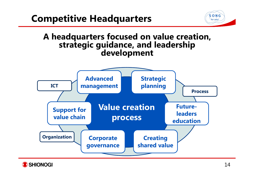



# **A headquarters focused on value creation, strategic guidance, and leadership development**



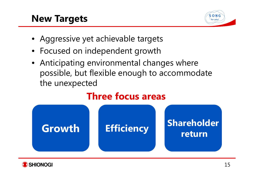## **New Targets**



- Aggressive yet achievable targets
- Focused on independent growth
- Anticipating environmental changes where possible, but flexible enough to accommodate the unexpected

## **Three focus areas**



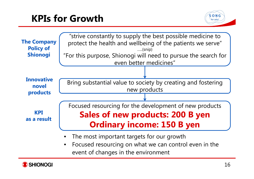## **KPIs for Growth**





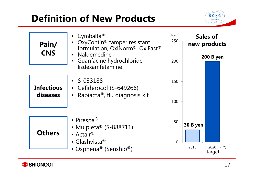# **Definition of New Products**



| Pain/<br><b>CNS</b>           | • Cymbalta <sup>®</sup><br>OxyContin <sup>®</sup> tamper resistant<br>formulation, OxiNorm®, OxiFast®<br>Naldemedine<br>Guanfacine hydrochloride,<br>lisdexamfetamine | (B yen)<br>250<br>200 | <b>Sales of</b><br>new products<br><b>200 B yen</b> |
|-------------------------------|-----------------------------------------------------------------------------------------------------------------------------------------------------------------------|-----------------------|-----------------------------------------------------|
| <b>Infectious</b><br>diseases | $\bullet$ S-033188<br>• Cefiderocol (S-649266)<br>Rapiacta®, flu diagnosis kit                                                                                        | 150<br>100            |                                                     |
| <b>Others</b>                 | • Pirespa <sup>®</sup><br>• Mulpleta® (S-888711)<br>• Actair $\mathbb{R}$<br>• Glashvista®<br>• Osphena® (Senshio®)                                                   | 50<br>$\overline{0}$  | 30 B yen<br>2015<br>2020<br>(FY)<br>target          |

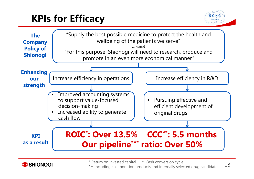# **KPIs for Efficacy**







\* Return on invested capital \*\* Cash conversion cycle \*\*\* including collaboration products and internally selected drug candidates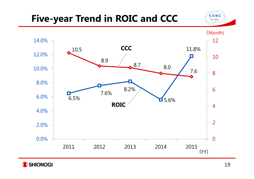## **Five-year Trend in ROIC and CCC**





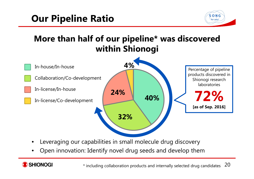## **Our Pipeline Ratio**



## **More than half of our pipeline\* was discovered within Shionogi**



- •Leveraging our capabilities in small molecule drug discovery
- •Open innovation: Identify novel drug seeds and develop them

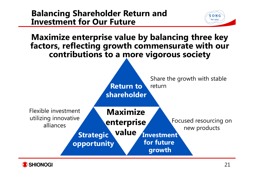#### **Balancing Shareholder Return and Investment for Our Future**





 $S$  O N G for you!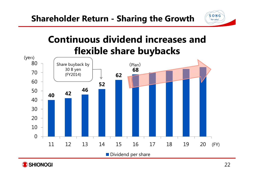

## **Continuous dividend increases and flexible share buybacks**



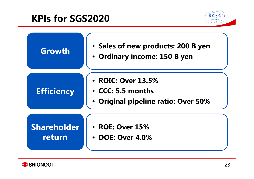## **KPIs for SGS2020**



| Growth                                                                   | • Sales of new products: 200 B yen<br>• Ordinary income: 150 B yen             |
|--------------------------------------------------------------------------|--------------------------------------------------------------------------------|
| <b>Efficiency</b>                                                        | • ROIC: Over 13.5%<br>• CCC: 5.5 months<br>• Original pipeline ratio: Over 50% |
| <b>Shareholder</b><br>• ROE: Over 15%<br>return<br><b>DOE: Over 4.0%</b> |                                                                                |